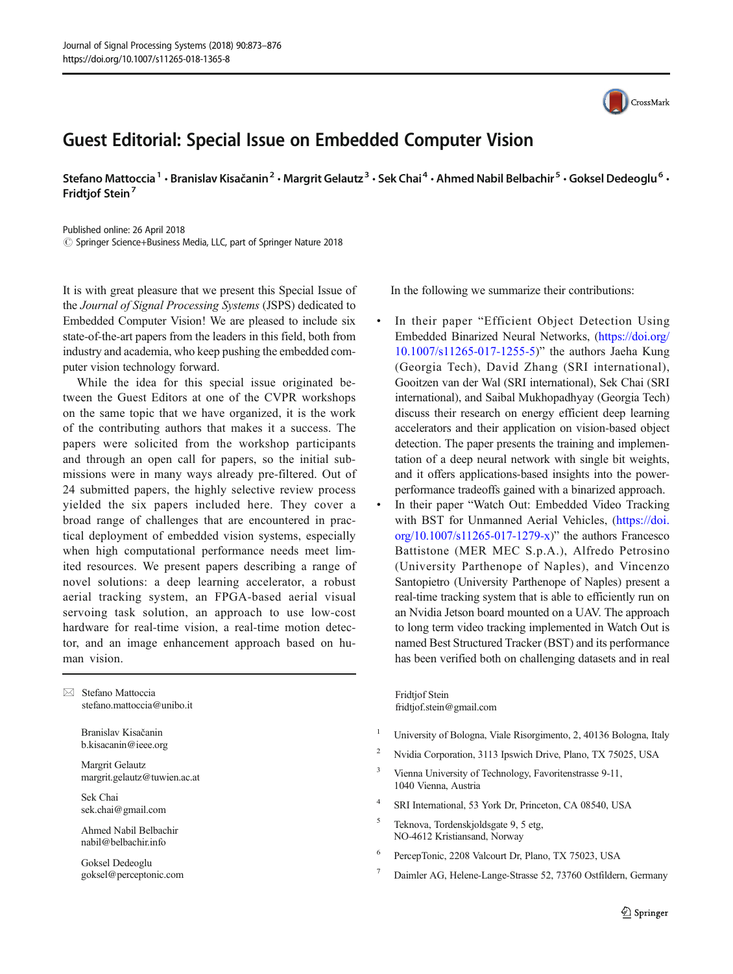## Guest Editorial: Special Issue on Embedded Computer Vision

Stefano Mattoccia<sup>1</sup> • Branislav Kisačanin<sup>2</sup> • Margrit Gelautz<sup>3</sup> • Sek Chai<sup>4</sup> • Ahmed Nabil Belbachir<sup>5</sup> • Goksel Dedeoglu<sup>6</sup> • Fridtiof Stein<sup>7</sup>

Published online: 26 April 2018  $\circled{c}$  Springer Science+Business Media, LLC, part of Springer Nature 2018

It is with great pleasure that we present this Special Issue of the Journal of Signal Processing Systems (JSPS) dedicated to Embedded Computer Vision! We are pleased to include six state-of-the-art papers from the leaders in this field, both from industry and academia, who keep pushing the embedded computer vision technology forward.

While the idea for this special issue originated between the Guest Editors at one of the CVPR workshops on the same topic that we have organized, it is the work of the contributing authors that makes it a success. The papers were solicited from the workshop participants and through an open call for papers, so the initial submissions were in many ways already pre-filtered. Out of 24 submitted papers, the highly selective review process yielded the six papers included here. They cover a broad range of challenges that are encountered in practical deployment of embedded vision systems, especially when high computational performance needs meet limited resources. We present papers describing a range of novel solutions: a deep learning accelerator, a robust aerial tracking system, an FPGA-based aerial visual servoing task solution, an approach to use low-cost hardware for real-time vision, a real-time motion detector, and an image enhancement approach based on human vision.

 $\boxtimes$  Stefano Mattoccia [stefano.mattoccia@unibo.it](mailto:stefano.mattoccia@unibo.it)

> Branislav Kisačanin b.kisacanin@ieee.org

Margrit Gelautz margrit.gelautz@tuwien.ac.at

Sek Chai sek.chai@gmail.com

Ahmed Nabil Belbachir nabil@belbachir.info

Goksel Dedeoglu goksel@perceptonic.com In the following we summarize their contributions:

- In their paper "Efficient Object Detection Using Embedded Binarized Neural Networks, [\(https://doi.org/](https://doi.org/10.1007/s11265-017-1255-5) [10.1007/s11265-017-1255-5](https://doi.org/10.1007/s11265-017-1255-5))" the authors Jaeha Kung (Georgia Tech), David Zhang (SRI international), Gooitzen van der Wal (SRI international), Sek Chai (SRI international), and Saibal Mukhopadhyay (Georgia Tech) discuss their research on energy efficient deep learning accelerators and their application on vision-based object detection. The paper presents the training and implementation of a deep neural network with single bit weights, and it offers applications-based insights into the powerperformance tradeoffs gained with a binarized approach.
- In their paper "Watch Out: Embedded Video Tracking with BST for Unmanned Aerial Vehicles, ([https://doi.](https://doi.org/10.1007/s11265-017-1279-x) [org/10.1007/s11265-017-1279-x](https://doi.org/10.1007/s11265-017-1279-x))" the authors Francesco Battistone (MER MEC S.p.A.), Alfredo Petrosino (University Parthenope of Naples), and Vincenzo Santopietro (University Parthenope of Naples) present a real-time tracking system that is able to efficiently run on an Nvidia Jetson board mounted on a UAV. The approach to long term video tracking implemented in Watch Out is named Best Structured Tracker (BST) and its performance has been verified both on challenging datasets and in real

Fridtjof Stein fridtjof.stein@gmail.com

- <sup>1</sup> University of Bologna, Viale Risorgimento, 2, 40136 Bologna, Italy
- <sup>2</sup> Nvidia Corporation, 3113 Ipswich Drive, Plano, TX 75025, USA
- <sup>3</sup> Vienna University of Technology, Favoritenstrasse 9-11, 1040 Vienna, Austria
- <sup>4</sup> SRI International, 53 York Dr, Princeton, CA 08540, USA
- <sup>5</sup> Teknova, Tordenskjoldsgate 9, 5 etg, NO-4612 Kristiansand, Norway
- <sup>6</sup> PercepTonic, 2208 Valcourt Dr, Plano, TX 75023, USA
- <sup>7</sup> Daimler AG, Helene-Lange-Strasse 52, 73760 Ostfildern, Germany

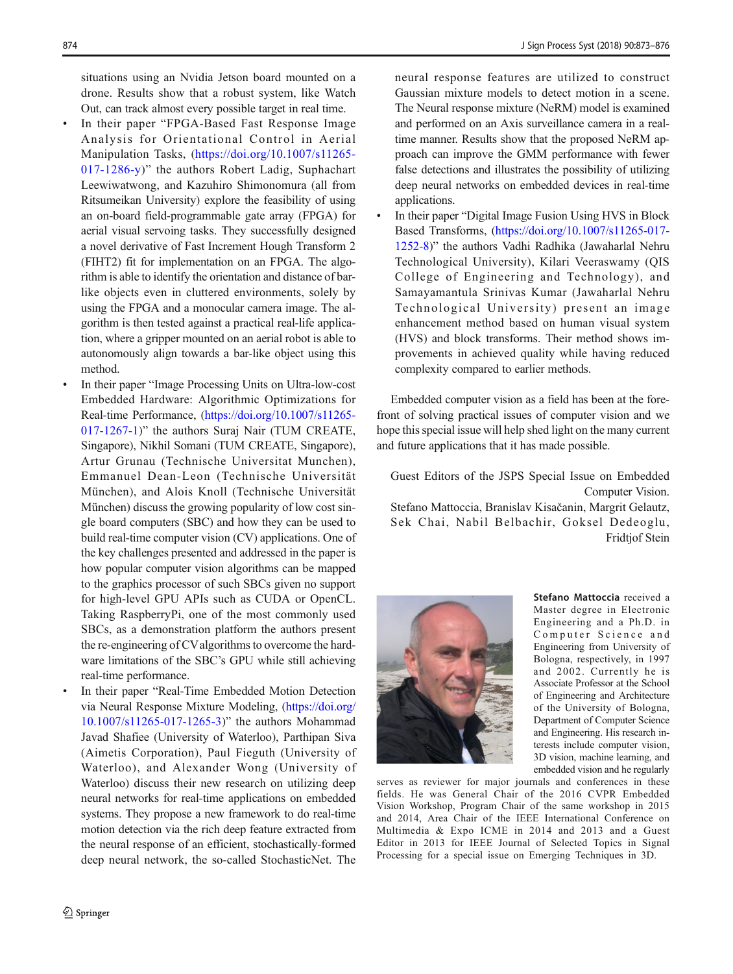situations using an Nvidia Jetson board mounted on a drone. Results show that a robust system, like Watch Out, can track almost every possible target in real time.

- In their paper "FPGA-Based Fast Response Image Analysis for Orientational Control in Aerial Manipulation Tasks, ([https://doi.org/10.1007/s11265-](https://doi.org/10.1007/s11265-017-1286-y) [017-1286-y\)](https://doi.org/10.1007/s11265-017-1286-y)" the authors Robert Ladig, Suphachart Leewiwatwong, and Kazuhiro Shimonomura (all from Ritsumeikan University) explore the feasibility of using an on-board field-programmable gate array (FPGA) for aerial visual servoing tasks. They successfully designed a novel derivative of Fast Increment Hough Transform 2 (FIHT2) fit for implementation on an FPGA. The algorithm is able to identify the orientation and distance of barlike objects even in cluttered environments, solely by using the FPGA and a monocular camera image. The algorithm is then tested against a practical real-life application, where a gripper mounted on an aerial robot is able to autonomously align towards a bar-like object using this method.
- In their paper "Image Processing Units on Ultra-low-cost Embedded Hardware: Algorithmic Optimizations for Real-time Performance, [\(https://doi.org/10.1007/s11265-](https://doi.org/10.1007/s11265-017-1267-1) [017-1267-1\)](https://doi.org/10.1007/s11265-017-1267-1)" the authors Suraj Nair (TUM CREATE, Singapore), Nikhil Somani (TUM CREATE, Singapore), Artur Grunau (Technische Universitat Munchen), Emmanuel Dean-Leon (Technische Universität München), and Alois Knoll (Technische Universität München) discuss the growing popularity of low cost single board computers (SBC) and how they can be used to build real-time computer vision (CV) applications. One of the key challenges presented and addressed in the paper is how popular computer vision algorithms can be mapped to the graphics processor of such SBCs given no support for high-level GPU APIs such as CUDA or OpenCL. Taking RaspberryPi, one of the most commonly used SBCs, as a demonstration platform the authors present the re-engineering of CValgorithms to overcome the hardware limitations of the SBC's GPU while still achieving real-time performance.
- In their paper "Real-Time Embedded Motion Detection via Neural Response Mixture Modeling, [\(https://doi.org/](https://doi.org/10.1007/s11265-017-1265-3) [10.1007/s11265-017-1265-3](https://doi.org/10.1007/s11265-017-1265-3))" the authors Mohammad Javad Shafiee (University of Waterloo), Parthipan Siva (Aimetis Corporation), Paul Fieguth (University of Waterloo), and Alexander Wong (University of Waterloo) discuss their new research on utilizing deep neural networks for real-time applications on embedded systems. They propose a new framework to do real-time motion detection via the rich deep feature extracted from the neural response of an efficient, stochastically-formed deep neural network, the so-called StochasticNet. The

neural response features are utilized to construct Gaussian mixture models to detect motion in a scene. The Neural response mixture (NeRM) model is examined and performed on an Axis surveillance camera in a realtime manner. Results show that the proposed NeRM approach can improve the GMM performance with fewer false detections and illustrates the possibility of utilizing deep neural networks on embedded devices in real-time applications.

In their paper "Digital Image Fusion Using HVS in Block Based Transforms, ([https://doi.org/10.1007/s11265-017-](https://doi.org/10.1007/s11265-017-1252-8) [1252-8\)](https://doi.org/10.1007/s11265-017-1252-8)" the authors Vadhi Radhika (Jawaharlal Nehru Technological University), Kilari Veeraswamy (QIS College of Engineering and Technology), and Samayamantula Srinivas Kumar (Jawaharlal Nehru Technological University) present an image enhancement method based on human visual system (HVS) and block transforms. Their method shows improvements in achieved quality while having reduced complexity compared to earlier methods.

Embedded computer vision as a field has been at the forefront of solving practical issues of computer vision and we hope this special issue will help shed light on the many current and future applications that it has made possible.

Guest Editors of the JSPS Special Issue on Embedded Computer Vision. Stefano Mattoccia, Branislav Kisačanin, Margrit Gelautz, Sek Chai, Nabil Belbachir, Goksel Dedeoglu, Fridtjof Stein



Stefano Mattoccia received a Master degree in Electronic Engineering and a Ph.D. in Computer Science and Engineering from University of Bologna, respectively, in 1997 and 2002. Currently he is Associate Professor at the School of Engineering and Architecture of the University of Bologna, Department of Computer Science and Engineering. His research interests include computer vision, 3D vision, machine learning, and embedded vision and he regularly

serves as reviewer for major journals and conferences in these fields. He was General Chair of the 2016 CVPR Embedded Vision Workshop, Program Chair of the same workshop in 2015 and 2014, Area Chair of the IEEE International Conference on Multimedia & Expo ICME in 2014 and 2013 and a Guest Editor in 2013 for IEEE Journal of Selected Topics in Signal Processing for a special issue on Emerging Techniques in 3D.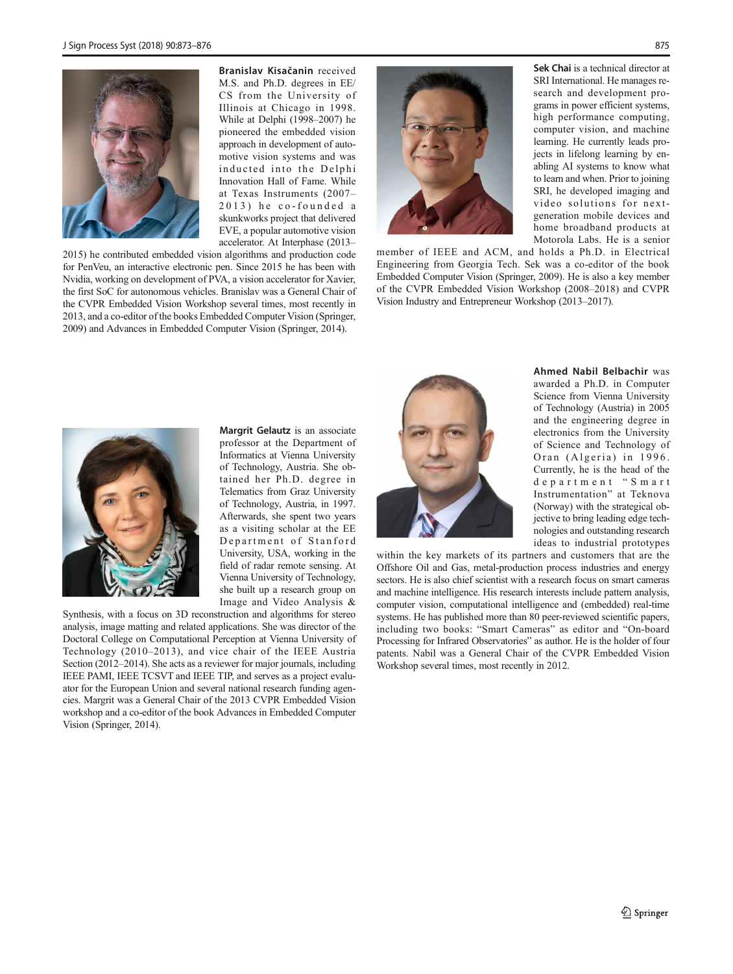

Branislav Kisačanin received M.S. and Ph.D. degrees in EE/ CS from the University of Illinois at Chicago in 1998. While at Delphi (1998–2007) he pioneered the embedded vision approach in development of automotive vision systems and was inducted into the Delphi Innovation Hall of Fame. While at Texas Instruments (2007– 2013) he co-founded a skunkworks project that delivered EVE, a popular automotive vision accelerator. At Interphase (2013–

2015) he contributed embedded vision algorithms and production code for PenVeu, an interactive electronic pen. Since 2015 he has been with Nvidia, working on development of PVA, a vision accelerator for Xavier, the first SoC for autonomous vehicles. Branislav was a General Chair of the CVPR Embedded Vision Workshop several times, most recently in 2013, and a co-editor of the books Embedded Computer Vision (Springer, 2009) and Advances in Embedded Computer Vision (Springer, 2014).



Sek Chai is a technical director at SRI International. He manages research and development programs in power efficient systems, high performance computing, computer vision, and machine learning. He currently leads projects in lifelong learning by enabling AI systems to know what to learn and when. Prior to joining SRI, he developed imaging and video solutions for nextgeneration mobile devices and home broadband products at Motorola Labs. He is a senior

member of IEEE and ACM, and holds a Ph.D. in Electrical Engineering from Georgia Tech. Sek was a co-editor of the book Embedded Computer Vision (Springer, 2009). He is also a key member of the CVPR Embedded Vision Workshop (2008–2018) and CVPR Vision Industry and Entrepreneur Workshop (2013–2017).



Margrit Gelautz is an associate professor at the Department of Informatics at Vienna University of Technology, Austria. She obtained her Ph.D. degree in Telematics from Graz University of Technology, Austria, in 1997. Afterwards, she spent two years as a visiting scholar at the EE Department of Stanford University, USA, working in the field of radar remote sensing. At Vienna University of Technology, she built up a research group on Image and Video Analysis &

Synthesis, with a focus on 3D reconstruction and algorithms for stereo analysis, image matting and related applications. She was director of the Doctoral College on Computational Perception at Vienna University of Technology (2010–2013), and vice chair of the IEEE Austria Section (2012–2014). She acts as a reviewer for major journals, including IEEE PAMI, IEEE TCSVT and IEEE TIP, and serves as a project evaluator for the European Union and several national research funding agencies. Margrit was a General Chair of the 2013 CVPR Embedded Vision workshop and a co-editor of the book Advances in Embedded Computer Vision (Springer, 2014).



Ahmed Nabil Belbachir was awarded a Ph.D. in Computer Science from Vienna University of Technology (Austria) in 2005 and the engineering degree in electronics from the University of Science and Technology of Oran (Algeria) in 1996. Currently, he is the head of the department " Smart Instrumentation" at Teknova (Norway) with the strategical objective to bring leading edge technologies and outstanding research ideas to industrial prototypes

within the key markets of its partners and customers that are the Offshore Oil and Gas, metal-production process industries and energy sectors. He is also chief scientist with a research focus on smart cameras and machine intelligence. His research interests include pattern analysis, computer vision, computational intelligence and (embedded) real-time systems. He has published more than 80 peer-reviewed scientific papers, including two books: "Smart Cameras" as editor and "On-board Processing for Infrared Observatories" as author. He is the holder of four patents. Nabil was a General Chair of the CVPR Embedded Vision Workshop several times, most recently in 2012.